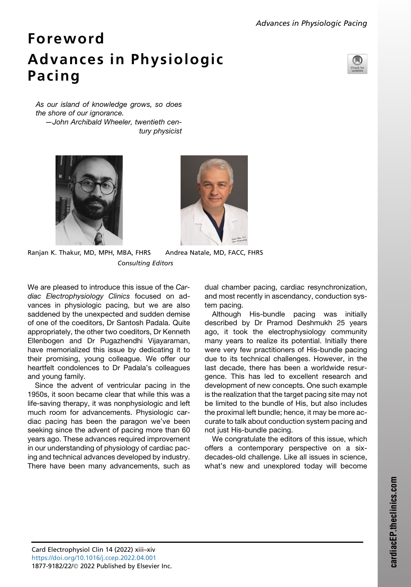## Foreword Advances in Physiologic Pacing



*As our island of knowledge grows, so does the shore of our ignorance. —John Archibald Wheeler, twentieth century physicist*





Ranjan K. Thakur, MD, MPH, MBA, FHRS Andrea Natale, MD, FACC, FHRS Consulting Editors

We are pleased to introduce this issue of the *Cardiac Electrophysiology Clinics* focused on advances in physiologic pacing, but we are also saddened by the unexpected and sudden demise of one of the coeditors, Dr Santosh Padala. Quite appropriately, the other two coeditors, Dr Kenneth Ellenbogen and Dr Pugazhendhi Vijayaraman, have memorialized this issue by dedicating it to their promising, young colleague. We offer our heartfelt condolences to Dr Padala's colleagues and young family.

Since the advent of ventricular pacing in the 1950s, it soon became clear that while this was a life-saving therapy, it was nonphysiologic and left much room for advancements. Physiologic cardiac pacing has been the paragon we've been seeking since the advent of pacing more than 60 years ago. These advances required improvement in our understanding of physiology of cardiac pacing and technical advances developed by industry. There have been many advancements, such as dual chamber pacing, cardiac resynchronization, and most recently in ascendancy, conduction system pacing.

Although His-bundle pacing was initially described by Dr Pramod Deshmukh 25 years ago, it took the electrophysiology community many years to realize its potential. Initially there were very few practitioners of His-bundle pacing due to its technical challenges. However, in the last decade, there has been a worldwide resurgence. This has led to excellent research and development of new concepts. One such example is the realization that the target pacing site may not be limited to the bundle of His, but also includes the proximal left bundle; hence, it may be more accurate to talk about conduction system pacing and not just His-bundle pacing.

We congratulate the editors of this issue, which offers a contemporary perspective on a sixdecades-old challenge. Like all issues in science, what's new and unexplored today will become